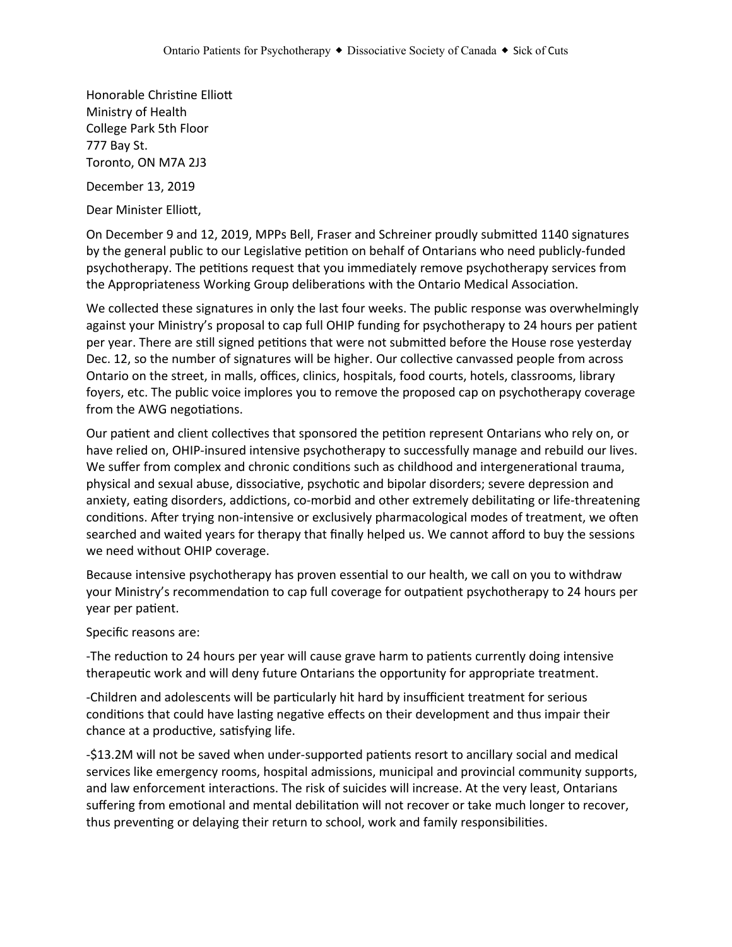Honorable Christine Elliott Ministry of Health College Park 5th Floor 777 Bay St. Toronto, ON M7A 2J3

December 13, 2019

Dear Minister Elliott,

On December 9 and 12, 2019, MPPs Bell, Fraser and Schreiner proudly submitted 1140 signatures by the general public to our Legislative petition on behalf of Ontarians who need publicly-funded psychotherapy. The petitions request that you immediately remove psychotherapy services from the Appropriateness Working Group deliberations with the Ontario Medical Association.

We collected these signatures in only the last four weeks. The public response was overwhelmingly against your Ministry's proposal to cap full OHIP funding for psychotherapy to 24 hours per patient per year. There are still signed petitions that were not submitted before the House rose yesterday Dec. 12, so the number of signatures will be higher. Our collective canvassed people from across Ontario on the street, in malls, offices, clinics, hospitals, food courts, hotels, classrooms, library foyers, etc. The public voice implores you to remove the proposed cap on psychotherapy coverage from the AWG negotiations.

Our patient and client collectives that sponsored the petition represent Ontarians who rely on, or have relied on, OHIP-insured intensive psychotherapy to successfully manage and rebuild our lives. We suffer from complex and chronic conditions such as childhood and intergenerational trauma, physical and sexual abuse, dissociative, psychotic and bipolar disorders; severe depression and anxiety, eating disorders, addictions, co-morbid and other extremely debilitating or life-threatening conditions. After trying non-intensive or exclusively pharmacological modes of treatment, we often searched and waited years for therapy that finally helped us. We cannot afford to buy the sessions we need without OHIP coverage.

Because intensive psychotherapy has proven essential to our health, we call on you to withdraw your Ministry's recommendation to cap full coverage for outpatient psychotherapy to 24 hours per year per patient.

Specific reasons are:

-The reduction to 24 hours per year will cause grave harm to patients currently doing intensive therapeutic work and will deny future Ontarians the opportunity for appropriate treatment.

-Children and adolescents will be particularly hit hard by insufficient treatment for serious conditions that could have lasting negative effects on their development and thus impair their chance at a productive, satisfying life.

-\$13.2M will not be saved when under-supported patients resort to ancillary social and medical services like emergency rooms, hospital admissions, municipal and provincial community supports, and law enforcement interactions. The risk of suicides will increase. At the very least, Ontarians suffering from emotional and mental debilitation will not recover or take much longer to recover, thus preventing or delaying their return to school, work and family responsibilities.